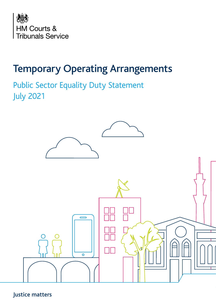

Public Sector Equality Duty Statement July 2021



## Justice matters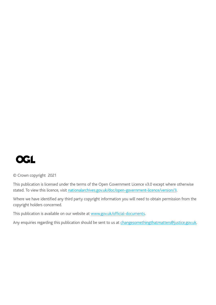

© Crown copyright 2021

This publication is licensed under the terms of the Open Government Licence v3.0 except where otherwise stated. To view this licence, visit [nationalarchives.gov.uk/doc/open-government-licence/version/3.](http://nationalarchives.gov.uk/doc/open-government-licence/version/3)

Where we have identified any third party copyright information you will need to obtain permission from the copyright holders concerned.

This publication is available on our website at [www.gov.uk/official-documents](http://www.gov.uk/official-documents).

Any enquiries regarding this publication should be sent to us at changesomethingthatmatters@justice.gov.uk.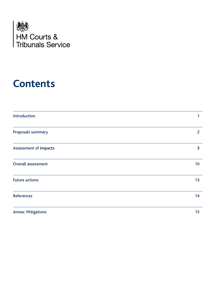

# **Contents**

| Introduction                 | 1              |
|------------------------------|----------------|
| Proposals summary            | $\overline{2}$ |
| <b>Assessment of impacts</b> | 3              |
| <b>Overall assessment</b>    | 10             |
| <b>Future actions</b>        | 13             |
| <b>References</b>            | 14             |
| <b>Annex: Mitigations</b>    | 15             |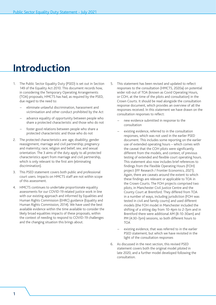# <span id="page-3-0"></span>**Introduction**

- 1. The Public Sector Equality Duty (PSED) is set out in Section 149 of the Equality Act 2010. This document records how, in considering the Temporary Operating Arrangements (TOA) proposals, HMCTS has had, as required by the PSED, due regard to the need to:
	- eliminate unlawful discrimination, harassment and victimisation and other conduct prohibited by the Act
	- advance equality of opportunity between people who share a protected characteristic and those who do not
	- foster good relations between people who share a protected characteristic and those who do not
- 2. The protected characteristics are: age; disability; gender reassignment; marriage and civil partnership; pregnancy and maternity; race; religion and belief; sex; and sexual orientation. The 3 aims of the duty apply to all protected characteristics apart from marriage and civil partnership, which is only relevant to the first aim (eliminating discrimination).
- 3. This PSED statement covers both public and professional court users. Impacts on HMCTS staff are not within scope of this assessment.
- 4. HMCTS continues to undertake proportionate equality assessments for our COVID-19 related justice work in line with our existing approach and informed by Equalities and Human Rights Commission (EHRC) guidance (Equality and Human Rights Commission, 2014). We have used the best available evidence within the time available to consider the likely broad equalities impacts of these proposals, within the context of needing to respond to COVID-19 challenges and the changing situation this brings about.
- 5. This statement has been revised and updated to reflect responses to the consultation (HMCTS, 2020a) on potential wider roll-out of TOA (known as Covid Operating Hours, or COH, at the time of the pilots and consultation) in the Crown Courts. It should be read alongside the consultation response document, which provides an overview of all the responses received. In this statement we have drawn on the consultation responses to reflect:
	- new evidence submitted in response to the consultation
	- existing evidence, referred to in the consultation responses, which was not used in the earlier PSED document. This includes some reporting on the earlier use of extended operating hours – which comes with the caveat that the COH pilots were significantly different from the models, and context, of previous testing of extended and flexible court operating hours. This statement also now includes brief references to findings from the Flexible Operating Hours (FOH) project (IFF Research / Frontier Economics, 2021). Again, there are caveats around the extent to which these findings are relevant or applicable to TOA in the Crown Courts. The FOH projects comprised two pilots, in Manchester Civil Justice Centre and the County Court at Brentford. They differed from TOA in a number of ways, including jurisdiction (FOH was tested in civil and family courts) and used different models (the FOH model in Manchester included the shifting of a sitting day from 10-4pm to 2-7pm and in Brentford there were additional AM (8-10-30am) and PM (4:30-7pm) sessions, so both different hours to **TOA**
	- existing evidence, that was referred to in the earlier PSED statement, but which we have revisited in the light of the consultation responses
- 6. As discussed in the next section, this revised PSED statement covers both the original model piloted in late 2020, and a further model developed following the consultation.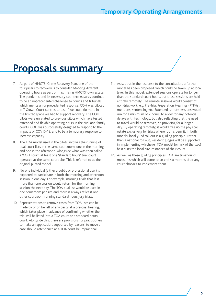# <span id="page-4-0"></span>**Proposals summary**

- 7. As part of HMCTS' Crime Recovery Plan, one of the four pillars to recovery is to consider adopting different operating hours as part of maximising HMCTS' own estate. The pandemic and its necessary countermeasures continue to be an unprecedented challenge to courts and tribunals which merits an unprecedented response. COH was piloted in 7 Crown Court centres to test if we could do more in the limited space we had to support recovery. The COH pilots were unrelated to previous pilots which have tested extended and flexible operating hours in the civil and family courts. COH was purposefully designed to respond to the impacts of COVID-19, and to be a temporary response to increase capacity.
- 8. The TOA model used in the pilots involves the running of dual court lists in the same courtroom, one in the morning and one in the afternoon. Alongside what was then called a 'COH court' at least one 'standard hours' trial court operated at the same court site. This is referred to as the original piloted model.
- 9. No one individual (either a public or professional user) is expected to participate in both the morning and afternoon session in one day. For example, morning trials that last more than one session would return for the morning session the next day. The TOA dual list would be used in one courtroom per site and there is always at least one other courtroom running standard hours jury trials.
- 10. Representations to remove cases from TOA lists can be made by or on behalf of any party at a pre-trial hearing, which takes place in advance of confirming whether the trial will be listed into a TOA court or a standard hours court. Alongside this, there are provisions for practitioners to make an application, supported by reasons, to move a case should attendance at a TOA court be impractical.
- 11. As set out in the response to the consultation, a further model has been proposed, which could be taken up at local level. In this model, extended sessions operate for longer than the standard court hours, but those sessions are held entirely remotely. The remote sessions would consist of non-trial work, e.g. Pre-Trial Preparation Hearings (PTPHs), mentions, sentencing etc. Extended remote sessions would run for a minimum of 7 hours, to allow for any potential delays with technology, but also reflecting that the need to travel would be removed, so providing for a longer day. By operating remotely, it would free up the physical estate exclusively for trials where rooms permit. In both models, locally-led roll out is a guiding principle. Rather than a national roll out, Resident Judges will be supported in implementing whichever TOA model (or mix of the two) best suits the local circumstances of their court.
- 12. As well as these guiding principles, TOA are timebound measures which will come to an end six months after any court chooses to implement them.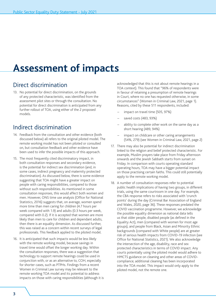# <span id="page-5-0"></span>**Assessment of impacts**

## Direct discrimination

13. No potential for direct discrimination, on the grounds of any protected characteristic, was identified from the assessment pilot sites or through the consultation. No potential for direct discrimination is anticipated from any further rollout of TOA, using either of the 2 proposed models.

## Indirect discrimination

- 14. Feedback from the consultation and other evidence (both discussed below) all refers to the original piloted model. The remote working model has not been piloted or consulted on, but consultation feedback and other evidence have been used to infer the possible impacts of this approach.
- 15. The most frequently cited discriminatory impact, in both consultation responses and secondary evidence, is the potential for indirect sex discrimination (and, in some cases, indirect pregnancy and maternity protected discrimination). As discussed below, there is some evidence suggesting that TOA might have a greater impact on people with caring responsibilities, compared to those without such responsibilities. As mentioned in some consultation responses, this would affect both women and men. However, ONS time use analysis (Office for National Statistics, 2016) suggests that, on average, women spend more time than men caring for children (4.7 hours per week compared with 1.9) and adults (0.3 hours per week, compared with 0.2). If it is accepted that women are more likely than men to care for children and dependant adults, then there is an equality dimension. As discussed further, this was raised as a concern within recent surveys of legal professionals. This feedback applied to the piloted model.
- 16. It is anticipated that such impacts would be less likely with the remote working model, because savings in travel time would offset the longer working day. Within the consultation responses, there was a suggestion that technology to support remote hearings could be used in conjunction with, or as an alternative to, COH, especially for shorter cases, such as PTPHs. Findings from a recent Women in Criminal Law survey may be relevant to the remote working TOA model and its potential to address impacts on those with caring responsibilities (although it is

acknowledged that this is not about remote hearings in a TOA context). This found that "96% of respondents were in favour of retaining a presumption of remote hearings in Court, where no one has requested otherwise, in some circumstances" (Women in Criminal Law, 2021, page 1). Reasons, cited by these 511 respondents, included:

- impact on travel time (505, 97%)
- saved costs (483, 93%)
- ability to complete other work on the same day as a short hearing (489, 94%)
- impact on childcare or other caring arrangements (54%, 279) (see Women in Criminal Law, 2021, page 2)
- 17. There may also be potential for indirect discrimination linked to the religion and belief protected characteristic. For example, Muslim prayers take place from Friday afternoon onwards and the Jewish Sabbath starts from sunset on Friday. In comparison with courts operating standard operating hours, TOA may have a bigger potential impact on those practising certain faiths. This could still potentially apply to the remote working model.
- 18. A number of consultation responses refer to potential public health implications of having two groups, in different trials, using the same courtroom in one day. For example, the CBA response refers to risks associated with 'crunch points' during the day (Criminal Bar Association of England and Wales, 2020, page 36). These responses predated the COVID vaccination programme. However, we acknowledge the possible equality dimension as national data tells us that older people, disabled people (as defined in the Equality Act), men (compared with women for most age groups), and people from Black, Asian and Minority Ethnic backgrounds (compared with White people) are at greater risk of serious health impacts from COVID-19 infection (see Office for National Statistics, 2021). We also acknowledge the intersection of the age, disability, race and sex protected characteristics in terms of COVID impact. Any courts potentially using the piloted model would adhere to HMCTS guidance on cleaning and other areas of COVIDcompliance; additional cleaning has been incorporated into the TOA model. This impact would only apply to the piloted model, not the remote one.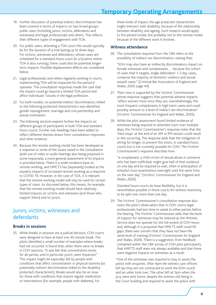- 19. Further discussion of potential indirect discrimination has been covered in terms of impacts on two broad groups: public users (including jurors, victims, defendants and witnesses) and legal professionals and others. This reflects their different types of engagement with TOA.
- 20. For public users, attending a TOA court this would typically be for the duration of a trial lasting up to three days. For victims, witnesses and defendants, whose cases are scheduled for a standard-hours court (in a location where TOA is also running), there could also be potential longerterm impacts. Possible displacement effects are considered below.
- 21. Legal professionals and others regularly working in courts implementing TOA will be impacted for the period it operates. The consultation responses made the case that the impact could go beyond a limited TOA period and affect individuals' futures in the legal profession.
- 22. For both models, no potential indirect discrimination, linked to the following protected characteristics was identified: gender reassignment, marriage and civil partnership and sexual orientation.
- 23. The following sections explore further the impacts on different groups of participants in both TOA and standard hours courts. Further sub-headings have been added to reflect different themes drawn from consultation responses and other evidence.
- 24. Because the remote working model has been developed as a response to some of the issues raised in the consultation (with use of video or audio hearings also being proposed in some responses), a more general assessment of its impacts is provided below. There is a wider evidence base on remote working, and HMCTS has (separately) looked at the equality impacts of increased remote working as a response to COVID-19. However, in the case of TOA, it is relevant that the remote working model will only be used for certain types of cases. As discussed below, this means, for example that the remote working model should have relatively limited impacts on victims and witnesses (and those who support them) and on jurors.

### Jurors, victims, witnesses and defendants

### **Breaks in sessions**

25. While breaks in sessions are a judicial decision, COH courts were designed to have at least one 30 minute break. The pilots identified a small number of examples where breaks had not occurred. It found that, when there were no breaks in COH sessions, "it was felt that concentration levels for all parties, and in particular jurors, were impacted." This impact might be especially felt by people with conditions that affect concentration or physical stamina (so potentially indirect discrimination linked to the disability protected characteristic). Breaks would also be an issue for those with conditions that require regular medication or interventions (for example, people with diabetes). For

these kinds of impact, the age protected characteristic might intersect with disability, because of the relationship between disability and ageing. Such impacts would apply to the piloted model, but probably not to the remote model because of the different work it involves.

#### **Witness attendance**

26. The consultation response from the CBA refers to the possibility of indirect sex discrimination, stating that:

"EOH may also have an indirectly discriminatory impact on female witnesses and complainants … because the cohort of cases that it targets, single defendant/ 1-3 day cases, comprise the majority of domestic violence and sexual assault cases." (Criminal Bar Association of England and Wales, 2020, page 44).

- 27. Their view is supported by the Victims' Commissioner whose response suggests that potential adverse impacts "affect women most since they are, overwhelmingly, the most frequent complainants in high harm cases and could possibly amount to a level of indirect sex discrimination" (Victims' Commissioner for England and Wales, 2020).
- 28. While the pilot assessment found limited evidence of witnesses being required to attended court over multiple days, the Victims' Commissioner's response notes that the 'hard stops' at the end of an AM or PM session could result in this occurring. The response adds that the mitigation of sitting for longer, to prevent this exists, in standard hours courts but is not currently possible for COH. The Victims' Commissioner's response describes how:

"a complainant, a child victim of sexual abuse or someone who has been trafficked, might give half of their evidence on one day and be required to wait, often in anticipation of stressful cross-examination overnight until the same time on the next day" (Victims' Commissioner for England and Wales, 2020).

Standard hours courts do have flexibility, but it is nevertheless possible in those courts for witness testimony to be split over more than one day.

29. The Victims' Commissioner's consultation response also notes the pilot's observation that in COH courts legal professionals had less time to speak to other parties before the hearing. The Victims' Commissioner adds that the level of support for witnesses may be reduced as the Witness Service does not operate for the full extent of COH hours and, although it is proposed that HMCTS staff could fill gaps, there was concern that they have not have the same level of training (Victims' Commissioner for England and Wales, 2020). There is a suggestion, from feedback contained within the CBA survey of COH pilot participants, that HMCTS staff were not always available and that there were negative impacts on witnesses as a result:

"One of the witnesses was required to stay to assist the police with enquiries. After 4pm the witness care officers left (as they are not contracted to work the EOH court) and an usher took over. The usher left at 5pm when the jury were sent home, despite the witness still being in the Court building and required to assist the police with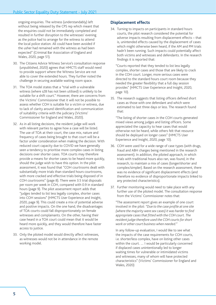ongoing enquiries. The witness (understandably) left without being released by the CPS rep which meant that the enquiries could not be immediately completed and resulted in further disruption to the witnesses' evening as the police had to arrange for the witness to attend the local police station. All could have been avoided if the usher had remained with the witness as had been expected" (Criminal Bar Association of England and Wales, 2020, page 51).

- 30. The Citizens Advice Witness Service's consultation response (unpublished, 2020) agrees that HMCTS staff would need to provide support where the Witness Service are not able to cover the extended hours. They further noted the challenge in securing available waiting room space.
- 31. The TOA model states that a "trial with a vulnerable witness (where s28 has not been utilised) is unlikely to be suitable for a shift court." However, there are concerns from the Victims' Commissioner that it will not be possible to assess whether COH is suitable for a victim or witness, due to lack of clarity around identification and communication of suitability criteria with the judiciary (Victims' Commissioner for England and Wales, 2020).
- 32. As in all listing decisions, the resident judge will work with relevant parties to agree how a case will be listed. The use of TOA at their court, the case mix, nature and frequency of cases being brought to that court will be a factor under consideration when making the decision. With reduced court capacity due to COVID we have generally seen a tendency to prioritise more complex cases in listing decisions over shorter cases. TOA courts may therefore provide a means for shorter cases to be heard more quickly, should the judge wish to have this option. In the pilot assessment, it was found that "COH courtrooms dealt with substantially more trials than standard hours courtrooms, with more cracked and effective trials being disposed of in COH courtrooms" (page 8). There were 3.5 trial disposals per room per week in COH, compared with 0.9 in standard hours (page 9). The pilot assessment report adds that "judges tended to list less legally complex, shorter cases into COH sessions" (HMCTS User Experience and Insight, 2020, page 9). This could create a mix of potential adverse and positive impacts. On the one hand, the disadvantages of TOA courts could fall disproportionately on female witnesses and complainants. On the other, having their case heard in a TOA court could mean that it would be heard more quickly, and they would therefore have faster access to justice.
- 33. Only the piloted model would directly affect witnesses, as witnesses would not be in attendance in the remote working model.

### **Displacement effects**

34. Turning to impacts on participants in standard hours courts, the pilot research considered the potential for adverse impacts resulting from displacement effects – that is, unintended effects caused by the displacement of cases which might otherwise been heard, if the AM and PM trials hadn't been running. Such impacts could potentially affect both victims and witnesses and defendants. In the research findings it is reported that:

"Courts reported that they tended to list less legally complex, shorter cases and those that are likely to crack in the COH court. Longer, more serious cases were directed to the standard hours court room because they needed the greater flexibility that a full day session provides" (HMCTS User Experience and Insight, 2020, page 10).

35. The research suggests that listing officers defined short cases as those with one defendant and which were estimated to last three days or less. The research found that:

"The listing of shorter cases in the COH courts generated mixed views among judges and listing officers. Some appreciated the capacity to hear cases that would otherwise not be heard, while others felt that resource should be deployed on longer cases" (HMCTS User Experience and Insight, 2020, page 10).

- 36. COH were used for a wide range of case types (with drugs, fraud and ABH charges being mentioned in the research assessment). In addition, the piloted approach, in which trials with traditional hours also ran, was found, in the research, to maintain a mix of cases (longer/shorter and complex/simpler). Based on the research assessment, there was no evidence of significant displacement effects (and therefore no evidence of disproportionate impacts linked to any protected characteristics).
- 37. Further monitoring would need to take place with any further use of the piloted model. The consultation response from the Victims' Commissioner notes that:

"The assessment report gives an example of one court involved in the pilot: *"Due to the case profile at one site (where the majority were sex cases) it was harder to find appropriate cases that fitted with the COH court. The resident judge therefore used the COH courts for short work or other court business when needed."* 

In any follow-up evaluation, I would like to see what the impacts of the case requirements for COH courts, i.e. shorter/less complex, have on listing other cases within the court. … I would be particularly concerned if displaced cases unintentionally led to longer waiting times for vulnerable or intimidated victims and witnesses, many of whom will have protected characteristics" (Victims' Commissioner for England and Wales, 2020)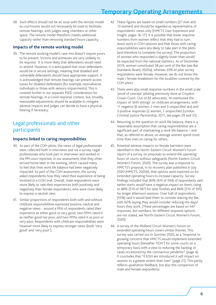38. Such effects should not be an issue with the remote model as courtrooms would not necessarily be used to facilitate remote hearings, with judges using chambers or other space. The remote model therefore creates additional capacity rather than removing standard hours capacity.

### **Impacts of the remote working model**

39. The remote working model's case mix doesn't require jurors to be present. Victims and witnesses are very unlikely to be required. It is more likely that defendants would need to attend. However, it is anticipated that most defendants would be in secure settings, meaning that disabled and vulnerable defendants should have appropriate support. It is acknowledged that remote hearings can present access issues for disabled defendants (for example, neurodiverse individuals or those with sensory impairments). This is covered further in our separate PSED consideration for remote hearings, in a Covid response context, but, broadly, reasonable adjustments should be available to mitigate adverse impacts and judges can decide to have a physical hearing if necessary.

### Legal professionals and other participants

### **Impacts linked to caring responsibilities**

- 40. As part of the COH pilots, the views of legal professionals were collected both in interviews and via a survey. Legal professionals who took part in interviews and worked in the PM court reported, in our assessment, that they often arrived home later in the evening, which caused many to feel that their work life balance had been negatively impacted. As part of the COH assessment, the survey asked respondents how they rated their experience of being involved in a COH trial. Overall, male respondents were more likely to rate their experiences both positively and negatively than female respondents, who were more likely to express a neutral view.
- 41. Similar proportions of respondents both with and without childcare responsibilities expressed positive, neutral and negative views - around a fifth of respondents rated their experience as either good or very good, two-fifths rated it as neither good nor poor, and two-fifths rated it as poor or very poor. Respondents with childcare responsibilities were however more likely to express stronger views (both 'very good' and 'very poor').
- 42. These figures are based on small numbers (27 men and 13 women) and should be regarded as representative of respondents' views only (HMCTS User Experience and Insight, pages 16-17). It is possible that lower response numbers from women reflect that they had to turn down work in COH sessions and that those with caring responsibilities were less likely to take part in the pilots (and therefore to complete the survey). The proportion of women who responded is slightly lower than would be expected from the national statistics. As of December 2019, women constituted 38 per cent of the Bar (see Bar Standards Board, 2020a), whereas 33% of pilot survey respondents were female. However, we do not know the male / female breakdown for the localities covered by the COH pilots.
- 43. There were also small response numbers in the small scale 'proof of concept' piloting previously done at Croydon Crown Court. Out of 82 advocates, 14 mentioned the impact of 'shift sittings' on childcare arrangements, with 11 negative (6 women, 2 men and 3 unspecified sex) and 3 positive responses (2 women, 1 unspecified (London Criminal Justice Partnership, 2011, see pages 29 and 31).
- 44. Returning to the question on work life balance, there is a reasonable assumption that caring responsibilities are a significant part of maintaining a work life balance – and that, as referred to above, on average women spend more time than men on caring for others.
- 45. Potential adverse impacts on female barristers were identified in the North-Eastern Circuit Women's Forum report of a survey on proposals to extend the operating hours of courts without safeguards (North-Eastern Circuit Women's Forum, 2020). The survey was a response to HMCTS's proposal, in its recovery plan published in July 2020 (HMCTS, 2020b), that options were explored on for extended operating hours to increase capacity. Survey findings included that 80% (474 of 594) of respondents said earlier starts would have a negative impact on them, rising to 88% (519 of 587) for later finishes and 86% (510 of 595) for longer afternoon sessions. Over half of respondents (55%) said it would lead them to consider leaving the Bar, with 62% saying they would consider reducing the days/ hours they work. (These percentages are based on 447 responses, but numbers, for different response options, are not stated, see North-Eastern Circuit Women's Forum, 2020).
- 46. A survey of the Midland Circuit Women's Forum on extended operating hours covers similar themes. This survey was carried out in Summer 2020, as a "response to growing concerns that HMCTS would implement extended operating hours (hereafter 'EOH') for some courts on a temporary basis with a view to reducing the backlog of cases occasioned by the coronavirus pandemic" (page 4). It concludes that "if EOH are introduced it will impact on women to a greater extent than men" (page 21). This partly reflects qualitative feedback, but also this comparison of male and female respondents: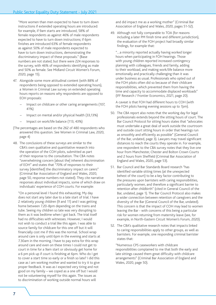"More women than men expected to have to turn down instructions if extended operating hours are introduced: for example, if 9am starts are introduced, 58% of female respondents as against 46% of male respondents expected to have to turn down instructions; if 6pm finishes are introduced 63% of female respondents as against 50% of male respondents expected to have to turn down instructions, demonstrating the discriminatory impact of these proposals." (Base numbers are not stated, but there were 224 responses to the survey, with 46% of respondents identifying as male and 50% as female. See Midland Circuit Women's Forum, 2020, page 15).

- 47. Alongside some more attitudinal content (with 88% of respondents being opposed to extended operating hours), a Women in Criminal Law survey on extended operating hours reports on reasons why respondents are opposed to EOH proposals:
	- Impact on childcare or other caring arrangements (107, 41%)
	- Impact on mental and/or physical health (33,13%)
	- Impact on work/life balance (113, 43%)
- (The percentages are based on the 262 of 480 respondents who answered this question. See Women in Criminal Law, 2020, page 4)
- 48. The conclusions of these surveys are similar to the CBA's own qualitative and quantitative research into the operation of the COH pilots, submitted as part of their response to the consultation. The CBA notes "overwhelming concern [about the] inherent discrimination of EOH" and states that "70% of responses to their survey [identified] the discriminatory impact on carers" (Criminal Bar Association of England and Wales, 2020, page 50, response numbers not stated). They cite narrative responses about individual impacts, some of which draw on individuals' experience of COH courts. For example:

"On a personal level I found this exhausting. My day does not start any later due to a late start of trial. I have 2 relatively young children (9 and 11) and I was getting home between 7.20-8pm depending on the trains and tube. Seeing my children so late was very disrupting to them as it was bedtime when I got back. The trial itself had no difficulties with witnesses. However, I would not wish to conduct a trial like this again. I was able to source family for childcare for this one off but it will financially cost me if this was the normal. School wrap around care is only until 6pm in the evening and starts at 7.30am in the morning. I have to pay extra for this wrap around care and even on these times I could not get to court in time for a 9am start or obviously get home for a 6 pm pick up if court is finishing at 6pm. Who do I get to cover a start time so early or a finish so late? I did this case as I am working mother and wanted to try it to give proper feedback. It was as I expected very tiring and not good on my family – we coped as a one off but I would not be volunteering myself for this again. The issues as to discrimination of working outside normal hours will

and did impact me as a working mother" (Criminal Bar Association of England and Wales, 2020, pages 51-52).

49. Although not fully comparable to TOA (for reasons including a later PM finish time and different jurisdiction), the evaluation of the FOH project had broadly similar findings, for example that:

"…a minority reported actually having worked longer hours when participating in FOH hearings. Those with young children reported increased contingency planning with colleagues, friends and family, adding to their workload, and making work/life balance more emotionally and practically challenging than it was under business as usual. Professionals who opted out of the FOH pilots often did so because of their childcare responsibilities, which prevented them from having the time and capacity to accommodate displaced workloads" (IFF Research / Frontier Economics, 2021, page 20).

A caveat is that FOH had different hours to COH (with the FOH pilots having evening sessions up to 7pm).

- 50. The CBA report also notes that the working day for legal professionals extends beyond the sitting hours of court. The Bar Council Protocol for sitting hours states that "advocates must undertake a great deal of work outside the courtroom and outside court sitting hours in order that hearings run as smoothly and efficiently as possible" (General Council of the Bar, undated, page 3). Lawyers may travel significant distances to reach the courts they operate in. For example, one respondent to the CBA survey notes that they live one hour from Manchester, Chester and Bolton Crown Courts and 2 hours from Sheffield (Criminal Bar Association of England and Wales, 2020, page 53).
- 51. Bar Council and Bar Standards Board research "has identified variable sitting times (at the unexpected behest of the court) to be a key factor contributing to the pressures upon barristers with caring responsibilities, particularly women, and therefore a significant barrier to retention after childbirth" (cited in General Council of the Bar, undated, page 1). The Bar Council Protocol also makes a wider connection between retention of caregivers and the diversity of the Bar (General Council of the Bar, undated). This concern is that the impact of COH may lead to women leaving the Bar - with concerns of this being a particular risk for women returning from maternity leave (see, for example, in North-Eastern Circuit Women's Forum, 2020).
- 52. The CBA's qualitative research notes that impacts linked to caring responsibilities apply to other groups, as well as barristers. For example, one responding criminal barrister states that:

"Numerous CPS caseworkers with childcare responsibilities complained to me that both the early and late sittings caused them great difficulty with childcare arrangements" (Criminal Bar Association of England and Wales, 2020, page 50).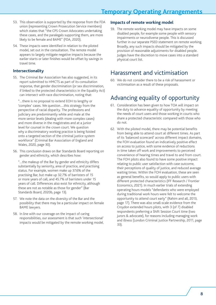- 53. This observation is supported by the response from the FDA union (representing Crown Prosecution Service members) which states that "the CPS Crown Advocates undertaking these cases, and the paralegals supporting them, are more likely to be female and BAME" (FDA, 2020).
- 54. These impacts were identified in relation to the piloted model, set out in the consultation. The remote model appears to largely mitigate negative impacts because the earlier starts or later finishes would be offset by savings in travel time.

### **Intersectionality**

55. The Criminal Bar Association has also suggested, in its report submitted to HMCTS as part of its consultation response, that gender discrimination (or sex discrimination, if linked to the protected characteristics in the Equality Act) can intersect with race discrimination, noting that:

"…there is no proposal to extend EOH to lengthy or 'complex' cases. We question….this strategy from the perspective of racial disparity. The professions and judiciary are predominantly white and male at the more senior levels (dealing with more complex cases) and more diverse in the magistrates and at a junior level for counsel in the crown court. We question why a discriminatory working practice is being foisted onto a targeted section of the criminal justice system workforce" (Criminal Bar Association of England and Wales, 2020, page 30).

56. This conclusion draws on Bar Standards Board reporting on gender and ethnicity, which describes how:

"…the makeup of the Bar by gender and ethnicity differs substantially by seniority, area of practice, and practising status. For example, women make up 37.6% of the practising Bar, but make up 32.7% of barristers of 15 or more years of call, and 45.7% of barristers under 15 years of call. Differences also exist for ethnicity, although these are not as notable as those for gender" (Bar Standards Board, 2020b, page 13).

- 57. We note the data on the diversity of the Bar and the possibility that there may be a particular impact on female BAME lawyers.
- 58. In line with our coverage on the impact of caring responsibilities, our assessment is that such 'intersectional' impacts would be mitigated by the remote working model.

### **Impacts of remote working model**

59. The remote working model may have impacts on some disabled people, for example some people with sensory impairments or neurodiverse people. This is discussed further in our separate PSED statement on remote working. Broadly, any such impacts should be mitigated by the provision of reasonable adjustments for disabled people. Judges have the discretion to move cases into a standard physical court list.

## Harassment and victimisation

60. We do not consider there to be a risk of harassment or victimisation as a result of these proposals.

## Advancing equality of opportunity

- 61. Consideration has been given to how TOA will impact on the duty to advance equality of opportunity by meeting the needs of court users and those working in courts who share a protected characteristic compared with those who do not.
- 62. With the piloted model, there may be potential benefits from being able to attend court at different times. As part of its 'balanced scorecard' across different impact domains, the FOH evaluation found an indicatively positive effect on access to justice, with some evidence of reductions in time taken off work and improvements to perceived convenience of hearing times and travel to and from court. The FOH pilots also found to have some positive impact relating to public user satisfaction with case outcome, their perceptions of quality of justice, and reduced average waiting times. Within the FOH evaluation, these are seen as general benefits, so would apply to public users with different protected characteristics (IFF Research / Frontier Economics, 2021). In much earlier trials of extending operating hours models "defendants who were employed during traditional work hours were felt to welcome the opportunity to attend court early" (Rahim and all, 2013, page 17). There was also small-scale evidence from the Croydon extended hours pilots, with 3 (of 7) disabled respondents preferring a Shift Session Court time (two jurors & advocate), for reasons including managing work and illness (London Criminal Justice Partnership, 2011, page 33).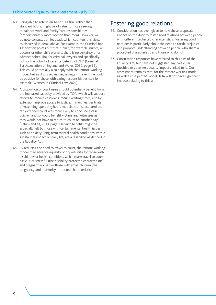- 63. Being able to attend an AM or PM trial, rather than standard hours, might be of value to those seeking to balance work and family/care responsibilities (proportionately more women than men). However, we do note consultation feedback which counters this view, as discussed in detail above. For example, the Criminal Bar Association points out that "unlike, for example, nurses, or doctors or other shift workers, there is no certainty of or advance scheduling for criminal lawyers and specifically not for the cohort of cases targeted by EOH" (Criminal Bar Association of England and Wales, 2020, page 29). This could potentially also apply with the remote working model, but as discussed earlier, savings in travel time could be positive for those with caring responsibilities (see for example, Women in Criminal Law, 2021).
- 64. A proportion of court users should potentially benefit from the increased capacity provided by TOA, which will support efforts to: reduce caseloads, reduce waiting times, and by extension improve access to justice. In much earlier trials of extending operating hours models, staff speculated that "an extended court was more likely to conclude a case quicker, and so would benefit victims and witnesses as they would not have to return to court on another day" (Rahim and all, 2013, page 18). Such benefits might be especially felt by those with certain mental health issues, such as anxiety (long-term mental health conditions, with a substantial impact on daily life, are a disability, as defined in the Equality Act).
- 65. By reducing the need to travel to court, the remote working model may advance equality of opportunity for those with disabilities or health conditions which make travel to court difficult or stressful (the disability protected characteristic) and pregnant women or those with small children (the pregnancy and maternity protected characteristic).

## Fostering good relations

- 66. Consideration has been given to how these proposals impact on the duty to foster good relations between people with different protected characteristics. Fostering good relations is particularly about the need to tackle prejudice and promote understanding between people who share a protected characteristic and those who do not.
- 67. Consultation responses have referred to this aim of the Equality Act, but have not suggested any particular (positive or adverse) equality impacts linked to it. Our assessment remains that, for the remote working model as well as the piloted model, TOA will not have significant impacts relating to this aim.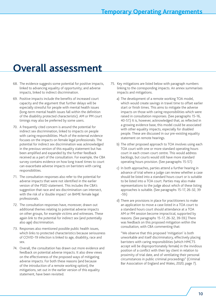# <span id="page-12-0"></span>**Overall assessment**

- 68. The evidence suggests some potential for positive impacts, linked to advancing equality of opportunity; and adverse impacts, linked to indirect discrimination.
- 69. Positive impacts include the benefits of increased court capacity and the argument that further delays will be especially stressful for people with mental health issues (long-term mental health issues fall within the definition of the disability protected characteristic). AM or PM court timings may also be preferred by some users.
- 70. A frequently cited concern is around the potential for indirect sex discrimination, linked to impacts on people with caring responsibilities. Much of the external evidence focuses on the impacts on female legal professionals. The potential for indirect sex discrimination was acknowledged in the previous version of this equality statement but has been amplified and expanded by the further feedback received as a part of the consultation. For example, the CBA survey contains evidence on how long travel times to court can exacerbate adverse impacts on barristers with caring responsibilities.
- 71. The consultation responses also refer to the potential for adverse impacts that were not identified in the earlier version of the PSED statement. This includes the CBA's suggestion that race and sex discrimination can intersect, with the risk of a 'double impact' on BAME female legal professionals.
- 72. The consultation responses have, moreover, drawn out additional themes relating to potential adverse impacts on other groups, for example victims and witnesses. These again link to the potential for indirect sex (and potentially also age) discrimination.
- 73. Responses also mentioned possible public health issues, which links to protected characteristics because seriousness of COVID-19 infection is linked to age, disability, race and sex.
- 74. Overall, the consultation has drawn out more evidence and feedback on potential adverse impacts. It also drew views on the effectiveness of the proposed ways of mitigating adverse impacts. For both these reasons (and because of the introduction of a remote working option), the mitigations, set out in the earlier version of this equality statement, have been revisited.
- 75. Key mitigations are listed below with paragraph numbers linking to the corresponding impacts. An annex summarises impacts and mitigations.
	- a) The development of a remote working TOA model, which would create savings in travel time to offset earlier start or finish times. This aims to mitigate the adverse impacts on those with caring responsibilities which were raised in consultation responses. (See paragraphs 15-16, 40-57.) It is, however, acknowledged that, as reflected in a growing evidence base, this model could be associated with other equality impacts, especially for disabled people. These are discussed in our pre-existing equality statement on remote hearings.
	- b) The other proposed approach to TOA involves using each TOA court with one or more standard operating hours court in each crown court centre. This would address backlogs, but courts would still have more standard operating hours provision. (See paragraphs 15-57.)
	- c) In both approaches, parties attend a further hearing in advance of trial where a judge can review whether a case should be listed into a standard hours court or is suitable to be listed into a TOA court. Parties may also make representations to the judge about which of these listing approaches is suitable. (See paragraphs 15-17, 26-32, 39 -59.)
	- d) There are provisions in place for practitioners to make an application to move a case listed in a TOA court to a standard hours court should attendance at a TOA AM or PM session become impractical, supported by reasons. (See paragraphs 15-17, 26-32, 39-59.) There was feedback on this proposed mitigation within the consultation, with CBA commenting that:

"We observe that this proposed 'mitigation' is both unworkable and itself discriminatory, effectively placing barristers with caring responsibilities (which HMCTS accept will be disproportionately female) in the invidious position of a conflict with their lay client in relation to proximity of trial date, and of ventilating their personal circumstances in public criminal proceedings" (Criminal Bar Association of England and Wales, 2020, page 7).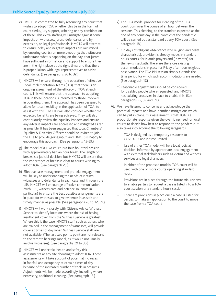- e) HMCTS is committed to fully resourcing any court that wishes to adopt TOA, whether this be in the form of court clerks, jury support, ushering or any combination of these. This extra staffing will mitigate against some impacts on witnesses, jurors, defendants, and by extension, on legal professionals. HMCTS will attempt to ensure delay and negative impacts are minimised by: ensuring courts run more smoothly; that witnesses understand what is happening on the day; that jurors have sufficient information and support to ensure they are in the right place at the right time; and that there is proper liaison with legal representatives to assist defendants. (See paragraphs 26 to 32.)
- f) HMCTS will ensure, through the operation of effective Local Implementation Teams (LITs), that there is an ongoing assessment of the efficacy of TOA at each court. This will ensure that the approach to adopting TOA in these locations is informed by those involved in operating them. The approach has been designed to allow for local flexibility in the application of TOA, to assist with this. The LITs will also consider whether the expected benefits are being achieved. They will also continuously review the equality impacts and ensure any adverse impacts are addressed and mitigated as far as possible. It has been suggested that local Chambers' Equality & Diversity Officers should be invited to join the LITs to provide going input, and HMCTS is happy to encourage this approach. (See paragraphs 15-59.)
- g) The model of a TOA court, is a four-hour trial session with approximately half an hour break. The length of breaks is a judicial decision, but HMCTS will ensure that the importance of breaks is clear to courts wishing to adopt TOA. (See paragraph 25.)
- h) Effective case management and pre-trial engagement will be key to understanding the needs of victims witnesses and defendants in each case and, through the LITs, HMCTS will encourage effective communication (with CPS, witness care and defence solicitors in particular) to ensure the best possible arrangements are in place for witnesses to give evidence in as safe and timely manner as possible. (See paragraphs 26 to 32, 39.)
- i) HMCTS will work closely with Citizens Advice Witness Service to identify locations where the risk of having insufficient cover from the Witness Service is greatest. Where this is the case, HMCTS staff, such as ushers who are trained in the management of witnesses, will provide cover at times of day when Witness Service staff are not available. (The last two points point are not relevant to the remote hearings model, as it would not usually involve witnesses). (See paragraphs 29 to 30.)
- j) HMCTS will undertake health and safety risk assessments at any site choosing to adopt TOA. These assessments will take account of potential increases in footfall and occupancy at certain times of day because of the increased number of trials in progress. Adjustments will be made accordingly, including where necessary, additional cleaning. (See paragraph 18.)
- k) The TOA model provides for cleaning of the TOA courtroom over the course of an hour between the sessions. This cleaning, to the standard expected at the end of any court day in the context of the pandemic, will be carried out as standard at any TOA court. (See paragraph 18.)
- l) On days of religious observance (the religion and belief characteristic), provision is already made, in standard hours courts, for Islamic prayers and (in winter) for the Jewish sabbath. There are therefore existing accommodations in place for Friday afternoon religious observance. The TOA PM session simply extends the time period for which such accommodations are needed. (See paragraph 17.)
- m)Reasonable adjustments should be considered for disabled people where requested, and HMCTS has existing processes in place to enable this. (See paragraphs 25, 39 and 59.)
- 76. We have listened to concerns and acknowledge the potential impacts and have identified mitigations which can be put in place. Our assessment is that TOA is a proportionate response given the overriding need for local courts to decide how best to respond to the pandemic. It also takes into account the following safeguards:
	- TOA is designed as a temporary response to COVID-19, and is time limited
	- Use of either TOA model will be a local judicial decision, informed by appropriate local engagement with external stakeholders such as victim and witness services and legal chambers
	- In either of the proposed models, TOA court will be used with one or more courts operating standard hours
	- Provisions are in place through the future trial reviews to enable parties to request a case is listed into a TOA court session or a standard hours session
	- There are provisions in place once a case is listed for parties to make an application to the court to move the case from a TOA court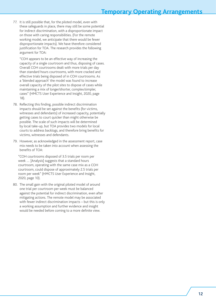77. It is still possible that, for the piloted model, even with these safeguards in place, there may still be some potential for indirect discrimination, with a disproportionate impact on those with caring responsibilities. (For the remote working model, we anticipate that there would be fewer disproportionate impacts). We have therefore considered justification for TOA. The research provides the following argument for TOA:

"COH appears to be an effective way of increasing the capacity of a single courtroom and thus, disposing of cases. Overall COH courtrooms dealt with more trials per day than standard hours courtrooms, with more cracked and effective trials being disposed of in COH courtrooms. As a 'blended approach' the model was found to increase overall capacity of the pilot sites to dispose of cases while maintaining a mix of longer/shorter, complex/simpler, cases" (HMCTS User Experience and Insight, 2020, page 18).

- 78. Reflecting this finding, possible indirect discrimination impacts should be set against the benefits (for victims, witnesses and defendants) of increased capacity, potentially getting cases to court quicker than might otherwise be possible. The scale of such impacts will be determined by local take-up, but TOA provides two models for local courts to address backlogs, and therefore bring benefits for victims, witnesses and defendants.
- 79. However, as acknowledged in the assessment report, case mix needs to be taken into account when assessing the benefits of TOA:

"COH courtrooms disposed of 3.5 trials per room per week … [Analysis] suggests that a standard hours courtroom, operating with the same case mix as a COH courtroom, could dispose of approximately 2.5 trials per room per week" (HMCTS User Experience and Insight, 2020, page 10).

80. The small gain with the original piloted model of around one trial per courtroom per week must be balanced against the potential for indirect discrimination, even after mitigating actions. The remote model may be associated with fewer indirect discrimination impacts – but this is only a working assumption and further evidence and insight would be needed before coming to a more definite view.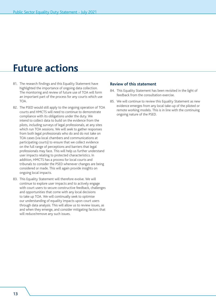# <span id="page-15-0"></span>**Future actions**

- 81. The research findings and this Equality Statement have highlighted the importance of ongoing data collection. The monitoring and review of future use of TOA will form an important part of the process for any courts which use TOA.
- 82. The PSED would still apply to the ongoing operation of TOA courts and HMCTS will need to continue to demonstrate compliance with its obligations under the duty. We intend to collect data to build on the evidence from the pilots, including surveys of legal professionals, at any sites which run TOA sessions. We will seek to gather responses from both legal professionals who do and do not take on TOA cases (via local chambers and communications at participating courts) to ensure that we collect evidence on the full range of perceptions and barriers that legal professionals may face. This will help us further understand user impacts relating to protected characteristics. In addition, HMCTS has a process for local courts and tribunals to consider the PSED whenever changes are being considered or made. This will again provide insights on ongoing local impacts.
- 83. This Equality Statement will therefore evolve. We will continue to explore user impacts and to actively engage with court users to secure constructive feedback, challenges and opportunities that come with any local decisions to take up TOA. We will continually seek to optimise our understanding of equality impacts upon court users through data analysis. This will allow us to review issues, as and when they emerge, and consider mitigating factors that will reduce/remove any such issues.

#### **Review of this statement**

- 84. This Equality Statement has been revisited in the light of feedback from the consultation exercise.
- 85. We will continue to review this Equality Statement as new evidence emerges from any local take-up of the piloted or remote working models. This is in line with the continuing ongoing nature of the PSED.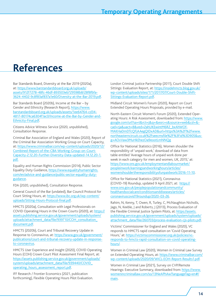# <span id="page-16-0"></span>**References**

Bar Standards Board, Diversity at the Bar 2019 (2020a), at: [https://www.barstandardsboard.org.uk/uploads/](https://www.barstandardsboard.org.uk/uploads/assets/912f7278-48fc-46df-893503eb729598b8/28f8fbfa-3624-4402-9c8f83af837a1e60/Diversity-at-the-Bar-2019.pdf) [assets/912f7278-48fc-46df-893503eb729598b8/28f8fbfa-](https://www.barstandardsboard.org.uk/uploads/assets/912f7278-48fc-46df-893503eb729598b8/28f8fbfa-3624-4402-9c8f83af837a1e60/Diversity-at-the-Bar-2019.pdf)[3624-4402-9c8f83af837a1e60/Diversity-at-the-Bar-2019.pdf](https://www.barstandardsboard.org.uk/uploads/assets/912f7278-48fc-46df-893503eb729598b8/28f8fbfa-3624-4402-9c8f83af837a1e60/Diversity-at-the-Bar-2019.pdf).

Bar Standards Board (2020b), Income at the Bar – by Gender and Ethnicity (Research Report), [https://www.](https://www.barstandardsboard.org.uk/uploads/assets/1ee64764-cd34-4817-80174ca6304f1ac0/Income-at-the-Bar-by-Gender-and-Ethnicity-Final.pdf) [barstandardsboard.org.uk/uploads/assets/1ee64764-cd34-](https://www.barstandardsboard.org.uk/uploads/assets/1ee64764-cd34-4817-80174ca6304f1ac0/Income-at-the-Bar-by-Gender-and-Ethnicity-Final.pdf) [4817-80174ca6304f1ac0/Income-at-the-Bar-by-Gender-and-](https://www.barstandardsboard.org.uk/uploads/assets/1ee64764-cd34-4817-80174ca6304f1ac0/Income-at-the-Bar-by-Gender-and-Ethnicity-Final.pdf)[Ethnicity-Final.pdf.](https://www.barstandardsboard.org.uk/uploads/assets/1ee64764-cd34-4817-80174ca6304f1ac0/Income-at-the-Bar-by-Gender-and-Ethnicity-Final.pdf)

Citizens Advice Witness Service (2020, unpublished), Consultation Response.

Criminal Bar Association of England and Wales (2020), Report of the Criminal Bar Association Working Group on Court Capacity, at: [https://www.criminalbar.com/wp-content/uploads/2020/12/](https://www.criminalbar.com/wp-content/uploads/2020/12/Combined-Report-of-the-CBA-Working-Group-on-Court-Capacity-2.12.20-Further-Diversity-Data-updated-14.12.20-1.pdf) [Combined-Report-of-the-CBA-Working-Group-on-Court-](https://www.criminalbar.com/wp-content/uploads/2020/12/Combined-Report-of-the-CBA-Working-Group-on-Court-Capacity-2.12.20-Further-Diversity-Data-updated-14.12.20-1.pdf)[Capacity-2.12.20-Further-Diversity-Data-updated-14.12.20-1.](https://www.criminalbar.com/wp-content/uploads/2020/12/Combined-Report-of-the-CBA-Working-Group-on-Court-Capacity-2.12.20-Further-Diversity-Data-updated-14.12.20-1.pdf) [pdf.](https://www.criminalbar.com/wp-content/uploads/2020/12/Combined-Report-of-the-CBA-Working-Group-on-Court-Capacity-2.12.20-Further-Diversity-Data-updated-14.12.20-1.pdf)

Equality and Human Rights Commission (2014), Public Sector Equality Duty Guidance, [https://www.equalityhumanrights.](https://www.equalityhumanrights.com/en/advice-and-guidance/public-sector-equality-duty-guidance) [com/en/advice-and-guidance/public-sector-equality-duty](https://www.equalityhumanrights.com/en/advice-and-guidance/public-sector-equality-duty-guidance)[guidance](https://www.equalityhumanrights.com/en/advice-and-guidance/public-sector-equality-duty-guidance).

FDA (2020, unpublished), Consultation Response.

General Council of the Bar (undated), Bar Council Protocol for Court Sitting Hours, at: [https://www.ibc.org.uk/wp-content/](https://www.ibc.org.uk/wp-content/uploads/Sitting-Hours-Protocol-final.pdf) [uploads/Sitting-Hours-Protocol-final.pdf](https://www.ibc.org.uk/wp-content/uploads/Sitting-Hours-Protocol-final.pdf).

HMCTS (2020a), Consultation with Legal Professionals on COVID Operating Hours in the Crown Courts (2020), at: [https://](https://assets.publishing.service.gov.uk/government/uploads/system/uploads/attachment_data/file/939710/COH_consultation_document.pdf) [assets.publishing.service.gov.uk/government/uploads/system/](https://assets.publishing.service.gov.uk/government/uploads/system/uploads/attachment_data/file/939710/COH_consultation_document.pdf) [uploads/attachment\\_data/file/939710/COH\\_consultation\\_](https://assets.publishing.service.gov.uk/government/uploads/system/uploads/attachment_data/file/939710/COH_consultation_document.pdf) [document.pdf](https://assets.publishing.service.gov.uk/government/uploads/system/uploads/attachment_data/file/939710/COH_consultation_document.pdf).

HMCTS (2020b), Court and Tribunal Recovery Update in Response to Coronavirus, at: [https://www.gov.uk/government/](https://www.gov.uk/government/publications/court-and-tribunal-recovery-update-in-response-to-coronavirus) [publications/court-and-tribunal-recovery-update-in-response](https://www.gov.uk/government/publications/court-and-tribunal-recovery-update-in-response-to-coronavirus)[to-coronavirus](https://www.gov.uk/government/publications/court-and-tribunal-recovery-update-in-response-to-coronavirus).

HMCTS User Experience and Insight (2020), COVID Operating Hours (COH) Crown Court Pilot Assessment Final Report, at: [https://assets.publishing.service.gov.uk/government/uploads/](https://assets.publishing.service.gov.uk/government/uploads/system/uploads/attachment_data/file/939440/COVID_operating_hours_assessment_report.pdf) [system/uploads/attachment\\_data/file/939440/COVID\\_](https://assets.publishing.service.gov.uk/government/uploads/system/uploads/attachment_data/file/939440/COVID_operating_hours_assessment_report.pdf) [operating\\_hours\\_assessment\\_report.pdf.](https://assets.publishing.service.gov.uk/government/uploads/system/uploads/attachment_data/file/939440/COVID_operating_hours_assessment_report.pdf)

IFF Research / Frontier Economics (2021, publication forthcoming), Flexible Operating Hours Pilot Evaluation.

London Criminal Justice Partnership (2011), Court Double Shift Sittings: Evaluation Report, at: [https://insidehmcts.blog.gov.uk/](https://insidehmcts.blog.gov.uk/wp-content/uploads/sites/171/2017/07/Court-Double-Shift-Sittings-Evaluation-Report.pdf) [wp-content/uploads/sites/171/2017/07/Court-Double-Shift-](https://insidehmcts.blog.gov.uk/wp-content/uploads/sites/171/2017/07/Court-Double-Shift-Sittings-Evaluation-Report.pdf)[Sittings-Evaluation-Report.pdf](https://insidehmcts.blog.gov.uk/wp-content/uploads/sites/171/2017/07/Court-Double-Shift-Sittings-Evaluation-Report.pdf).

Midland Circuit Women's Forum (2020), Report on Court Extended Operating Hours Proposals, provided by e-mail.

North-Eastern Circuit Women's Forum (2020), Extended Operating Hours: A Risk Assessment, downloaded from: [https://www.](https://www.google.com/url?sa=t&rct=j&q=&esrc=s&source=web&cd=&cad=rja&uact=8&ved=2ahUKEwintM6R2_bxA) [google.com/url?sa=t&rct=j&q=&esrc=s&source=web&cd=&](https://www.google.com/url?sa=t&rct=j&q=&esrc=s&source=web&cd=&cad=rja&uact=8&ved=2ahUKEwintM6R2_bxA) [cad=rja&uact=8&ved=2ahUKEwintM6R2\\_bxAhWOf-](https://www.google.com/url?sa=t&rct=j&q=&esrc=s&source=web&cd=&cad=rja&uact=8&ved=2ahUKEwintM6R2_bxA)[MAKHaDmDTcQFjAAegQIDxAD&url=https%3A%2F%2Fwww.](https://www.google.com/url?sa=t&rct=j&q=&esrc=s&source=web&cd=&cad=rja&uact=8&ved=2ahUKEwintM6R2_bxA) [northeasterncircuit.co.uk%2Fseecmsfile%2F%3Fid%3D905&us](https://www.google.com/url?sa=t&rct=j&q=&esrc=s&source=web&cd=&cad=rja&uact=8&ved=2ahUKEwintM6R2_bxA)[g=AOvVaw3MuHkEhezOa9eootLmNNQg](https://www.google.com/url?sa=t&rct=j&q=&esrc=s&source=web&cd=&cad=rja&uact=8&ved=2ahUKEwintM6R2_bxA)

Office for National Statistics (2016), Women shoulder the responsibility of 'unpaid work,' download of data from table entitled 'Average hours of unpaid work done per week in each category for men and women, UK, 2015,' at: [https://www.ons.gov.uk/employmentandlabourmarket/](https://www.ons.gov.uk/employmentandlabourmarket/peopleinwork/earningsandworkinghours/articles/womenshouldertheresponsibilityofunpaidwork/2016-11-10) [peopleinwork/earningsandworkinghours/articles/](https://www.ons.gov.uk/employmentandlabourmarket/peopleinwork/earningsandworkinghours/articles/womenshouldertheresponsibilityofunpaidwork/2016-11-10) [womenshouldertheresponsibilityofunpaidwork/2016-11-10](https://www.ons.gov.uk/employmentandlabourmarket/peopleinwork/earningsandworkinghours/articles/womenshouldertheresponsibilityofunpaidwork/2016-11-10).

Office for National Statistics (2021), Coronavirus (COVID-19) Roundup, updated 9 April 2021, at: [https://](https://www.ons.gov.uk/peoplepopulationandcommunity/healthandsocialcare/conditionsanddiseases/articles/coronaviruscovid19/latestinsights) [www.ons.gov.uk/peoplepopulationandcommunity/](https://www.ons.gov.uk/peoplepopulationandcommunity/healthandsocialcare/conditionsanddiseases/articles/coronaviruscovid19/latestinsights) [healthandsocialcare/conditionsanddiseases/articles/](https://www.ons.gov.uk/peoplepopulationandcommunity/healthandsocialcare/conditionsanddiseases/articles/coronaviruscovid19/latestinsights) [coronaviruscovid19roundup/2020-03-26](https://www.ons.gov.uk/peoplepopulationandcommunity/healthandsocialcare/conditionsanddiseases/articles/coronaviruscovid19/latestinsights).

Rahim, N, Kenny, T, Owen, R, Turley, C, McNaughton Nicholls, Jago, N, Keeble, J and Roberts, J (2013), Process Evaluation of the Flexible Criminal Justice System Pilots, at: [https://assets.](https://assets.publishing.service.gov.uk/government/uploads/system/uploads/attachment_data/file/260703/process-evaluation-cjs-pilots.pdf) [publishing.service.gov.uk/government/uploads/system/uploads/](https://assets.publishing.service.gov.uk/government/uploads/system/uploads/attachment_data/file/260703/process-evaluation-cjs-pilots.pdf) [attachment\\_data/file/260703/process-evaluation-cjs-pilots.pdf](https://assets.publishing.service.gov.uk/government/uploads/system/uploads/attachment_data/file/260703/process-evaluation-cjs-pilots.pdf).

Victims' Commissioner for England and Wales (2020), VC responds to HMCTS rapid consultation on 'Covid Operating Hours,' at: [https://victimscommissioner.org.uk/policies/vc](https://victimscommissioner.org.uk/policies/vc-responds-to-hmcts-rapid-consultation-on-covid-operati)[responds-to-hmcts-rapid-consultation-on-covid-operating](https://victimscommissioner.org.uk/policies/vc-responds-to-hmcts-rapid-consultation-on-covid-operati)[hours/](https://victimscommissioner.org.uk/policies/vc-responds-to-hmcts-rapid-consultation-on-covid-operati).

Women in Criminal Law (2020), Women in Criminal Law Survey on Extended Operating Hours, at: [https://www.criminalbar.com/](https://www.criminalbar.com/wp-content/uploads/2020/09/WICL-EOH-Report-Results1.pdf) [wp-content/uploads/2020/09/WICL-EOH-Report-Results1.pdf](https://www.criminalbar.com/wp-content/uploads/2020/09/WICL-EOH-Report-Results1.pdf).

Women in Criminal Law (2021), Survey on CVP/Remote Hearings: Executive Summary, downloaded from: [https://www.](https://www.womenincriminallaw.com/so/13NeAPhAw?languageTag=en#/main) [womenincriminallaw.com/so/13NeAPhAw?languageTag=en#/](https://www.womenincriminallaw.com/so/13NeAPhAw?languageTag=en#/main) [main.](https://www.womenincriminallaw.com/so/13NeAPhAw?languageTag=en#/main)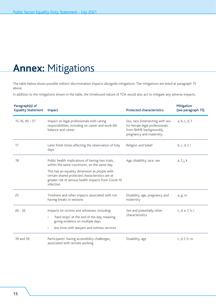# <span id="page-17-0"></span>**Annex:** Mitigations

The table below shows possible indirect discrimination impacts alongside mitigations. The mitigations are listed at paragraph 75 above.

In addition to the mitigations shown in the table, the timebound nature of TOA would also act to mitigate any adverse impacts.

| Paragraph(s) of<br><b>Equality Statement</b> | Impact                                                                                                                                                                                                   | <b>Protected characteristics</b>                                                                                         | <b>Mitigation</b><br>(see paragraph 75) |
|----------------------------------------------|----------------------------------------------------------------------------------------------------------------------------------------------------------------------------------------------------------|--------------------------------------------------------------------------------------------------------------------------|-----------------------------------------|
| $15-16, 40 - 57$                             | Impact on legal professionals with caring<br>responsibilities, including on career and work-life<br>balance and career.                                                                                  | Sex, race (intersecting with sex<br>for female legal professionals<br>from BAME backgrounds),<br>pregnancy and maternity | a, b, c, d, f                           |
| 17                                           | Later finish times affecting the observation of holy<br>days                                                                                                                                             | Religion and belief                                                                                                      | b, c, d, f, l                           |
| 18                                           | Public health implications of having two trials,<br>within the same courtroom, on the same day.                                                                                                          | Age, disability, race, sex                                                                                               | a, f, j, k                              |
|                                              | This has an equality dimension as people with<br>certain shared protected characteristics are at<br>greater risk of serious health impacts from Covid-19<br>infection                                    |                                                                                                                          |                                         |
| 25                                           | Tiredness and other impacts associated with not<br>having breaks in sessions                                                                                                                             | Disability, age, pregnancy and<br>maternity                                                                              | a, g, m                                 |
| $26 - 32$                                    | Impacts on victims and witnesses, including:<br>'hard stops' at the end of the day, meaning<br>$\bullet$<br>giving evidence on multiple days<br>less time with lawyers and witness services<br>$\bullet$ | Sex and potentially other<br>characteristics                                                                             | c, d, e, f, h, i                        |
| 39 and 59                                    | Participants' having accessibility challenges,<br>associated with remote working                                                                                                                         | Disability, age                                                                                                          | c, d, f, h, m                           |